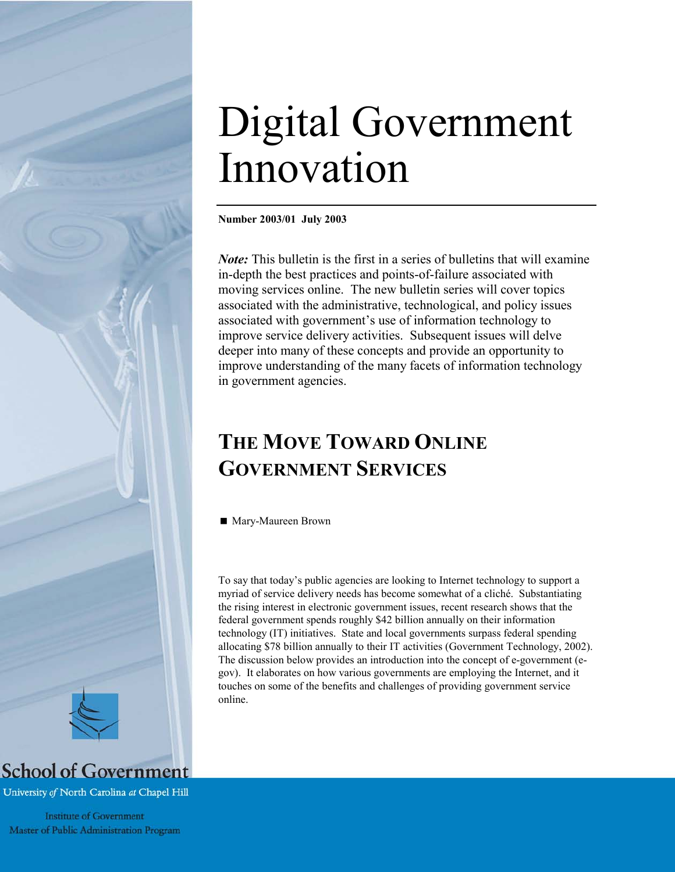# Digital Government Innovation

**Number 2003/01 July 2003** 

*Note*: This bulletin is the first in a series of bulletins that will examine in-depth the best practices and points-of-failure associated with moving services online. The new bulletin series will cover topics associated with the administrative, technological, and policy issues associated with government's use of information technology to improve service delivery activities. Subsequent issues will delve deeper into many of these concepts and provide an opportunity to improve understanding of the many facets of information technology in government agencies.

# **THE MOVE TOWARD ONLINE GOVERNMENT SERVICES**

■ Mary-Maureen Brown

To say that today's public agencies are looking to Internet technology to support a myriad of service delivery needs has become somewhat of a cliché. Substantiating the rising interest in electronic government issues, recent research shows that the federal government spends roughly \$42 billion annually on their information technology (IT) initiatives. State and local governments surpass federal spending allocating \$78 billion annually to their IT activities (Government Technology, 2002). The discussion below provides an introduction into the concept of e-government (egov). It elaborates on how various governments are employing the Internet, and it touches on some of the benefits and challenges of providing government service online.



University of North Carolina at Chapel Hill

**Institute of Government** Master of Public Administration Program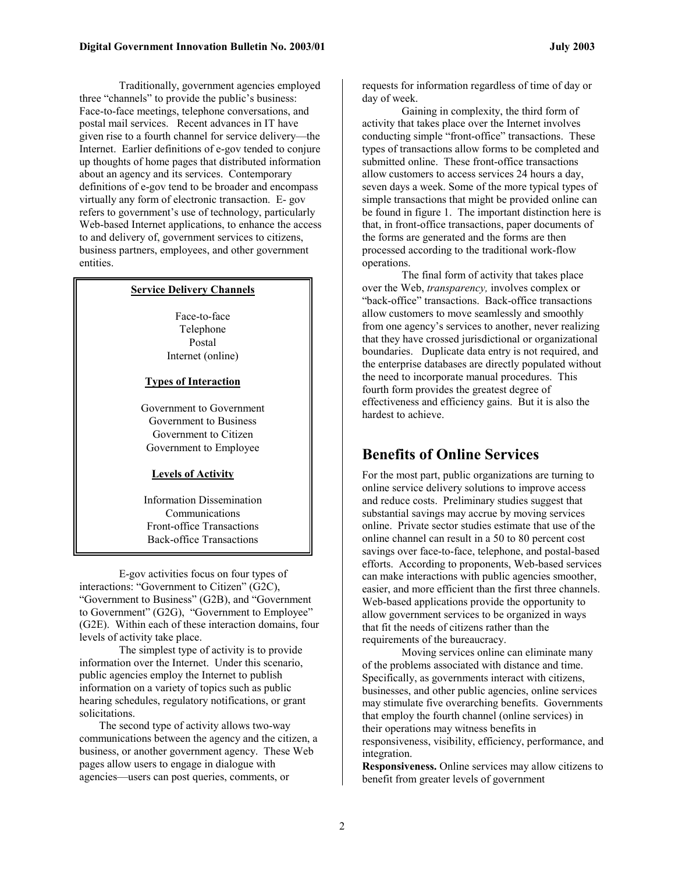Traditionally, government agencies employed three "channels" to provide the public's business: Face-to-face meetings, telephone conversations, and postal mail services. Recent advances in IT have given rise to a fourth channel for service delivery—the Internet. Earlier definitions of e-gov tended to conjure up thoughts of home pages that distributed information about an agency and its services. Contemporary definitions of e-gov tend to be broader and encompass virtually any form of electronic transaction. E- gov refers to government's use of technology, particularly Web-based Internet applications, to enhance the access to and delivery of, government services to citizens, business partners, employees, and other government entities.

#### **Service Delivery Channels**

Face-to-face Telephone Postal Internet (online)

#### **Types of Interaction**

Government to Government Government to Business Government to Citizen Government to Employee

#### **Levels of Activity**

Information Dissemination Communications Front-office Transactions Back-office Transactions

E-gov activities focus on four types of interactions: "Government to Citizen" (G2C), "Government to Business" (G2B), and "Government to Government" (G2G), "Government to Employee" (G2E). Within each of these interaction domains, four levels of activity take place.

The simplest type of activity is to provide information over the Internet. Under this scenario, public agencies employ the Internet to publish information on a variety of topics such as public hearing schedules, regulatory notifications, or grant solicitations.

The second type of activity allows two-way communications between the agency and the citizen, a business, or another government agency. These Web pages allow users to engage in dialogue with agencies—users can post queries, comments, or

requests for information regardless of time of day or day of week.

Gaining in complexity, the third form of activity that takes place over the Internet involves conducting simple "front-office" transactions. These types of transactions allow forms to be completed and submitted online. These front-office transactions allow customers to access services 24 hours a day, seven days a week. Some of the more typical types of simple transactions that might be provided online can be found in figure 1. The important distinction here is that, in front-office transactions, paper documents of the forms are generated and the forms are then processed according to the traditional work-flow operations.

The final form of activity that takes place over the Web, *transparency,* involves complex or "back-office" transactions. Back-office transactions allow customers to move seamlessly and smoothly from one agency's services to another, never realizing that they have crossed jurisdictional or organizational boundaries. Duplicate data entry is not required, and the enterprise databases are directly populated without the need to incorporate manual procedures. This fourth form provides the greatest degree of effectiveness and efficiency gains. But it is also the hardest to achieve.

## **Benefits of Online Services**

For the most part, public organizations are turning to online service delivery solutions to improve access and reduce costs. Preliminary studies suggest that substantial savings may accrue by moving services online. Private sector studies estimate that use of the online channel can result in a 50 to 80 percent cost savings over face-to-face, telephone, and postal-based efforts. According to proponents, Web-based services can make interactions with public agencies smoother, easier, and more efficient than the first three channels. Web-based applications provide the opportunity to allow government services to be organized in ways that fit the needs of citizens rather than the requirements of the bureaucracy.

Moving services online can eliminate many of the problems associated with distance and time. Specifically, as governments interact with citizens, businesses, and other public agencies, online services may stimulate five overarching benefits. Governments that employ the fourth channel (online services) in their operations may witness benefits in responsiveness, visibility, efficiency, performance, and integration.

**Responsiveness.** Online services may allow citizens to benefit from greater levels of government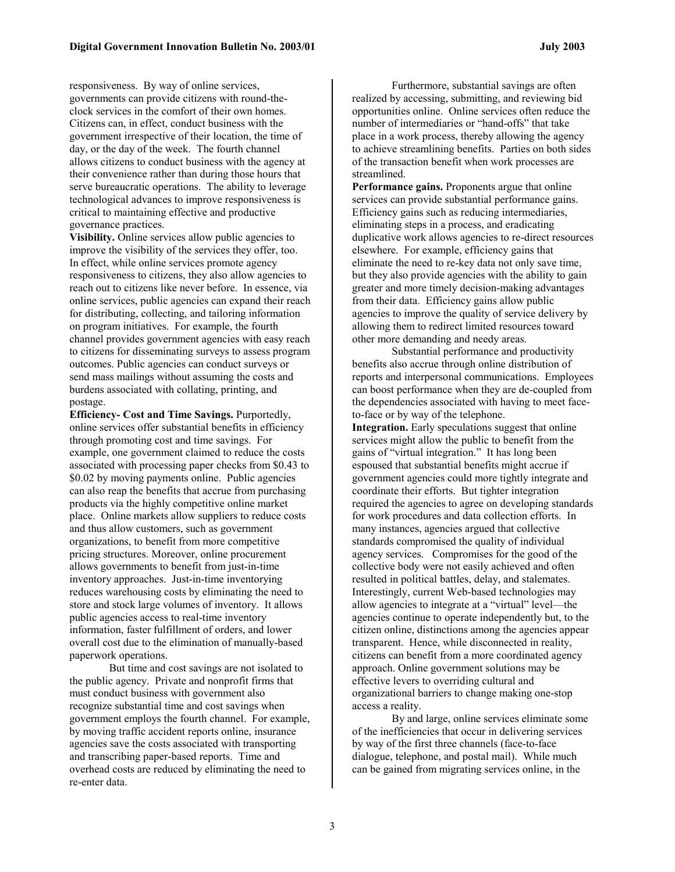responsiveness. By way of online services, governments can provide citizens with round-theclock services in the comfort of their own homes. Citizens can, in effect, conduct business with the government irrespective of their location, the time of day, or the day of the week. The fourth channel allows citizens to conduct business with the agency at their convenience rather than during those hours that serve bureaucratic operations. The ability to leverage technological advances to improve responsiveness is critical to maintaining effective and productive governance practices.

**Visibility.** Online services allow public agencies to improve the visibility of the services they offer, too. In effect, while online services promote agency responsiveness to citizens, they also allow agencies to reach out to citizens like never before. In essence, via online services, public agencies can expand their reach for distributing, collecting, and tailoring information on program initiatives. For example, the fourth channel provides government agencies with easy reach to citizens for disseminating surveys to assess program outcomes. Public agencies can conduct surveys or send mass mailings without assuming the costs and burdens associated with collating, printing, and postage.

**Efficiency- Cost and Time Savings.** Purportedly, online services offer substantial benefits in efficiency through promoting cost and time savings. For example, one government claimed to reduce the costs associated with processing paper checks from \$0.43 to \$0.02 by moving payments online. Public agencies can also reap the benefits that accrue from purchasing products via the highly competitive online market place. Online markets allow suppliers to reduce costs and thus allow customers, such as government organizations, to benefit from more competitive pricing structures. Moreover, online procurement allows governments to benefit from just-in-time inventory approaches. Just-in-time inventorying reduces warehousing costs by eliminating the need to store and stock large volumes of inventory. It allows public agencies access to real-time inventory information, faster fulfillment of orders, and lower overall cost due to the elimination of manually-based paperwork operations.

But time and cost savings are not isolated to the public agency. Private and nonprofit firms that must conduct business with government also recognize substantial time and cost savings when government employs the fourth channel. For example, by moving traffic accident reports online, insurance agencies save the costs associated with transporting and transcribing paper-based reports. Time and overhead costs are reduced by eliminating the need to re-enter data.

Furthermore, substantial savings are often realized by accessing, submitting, and reviewing bid opportunities online. Online services often reduce the number of intermediaries or "hand-offs" that take place in a work process, thereby allowing the agency to achieve streamlining benefits. Parties on both sides of the transaction benefit when work processes are streamlined.

**Performance gains.** Proponents argue that online services can provide substantial performance gains. Efficiency gains such as reducing intermediaries, eliminating steps in a process, and eradicating duplicative work allows agencies to re-direct resources elsewhere. For example, efficiency gains that eliminate the need to re-key data not only save time, but they also provide agencies with the ability to gain greater and more timely decision-making advantages from their data. Efficiency gains allow public agencies to improve the quality of service delivery by allowing them to redirect limited resources toward other more demanding and needy areas.

Substantial performance and productivity benefits also accrue through online distribution of reports and interpersonal communications. Employees can boost performance when they are de-coupled from the dependencies associated with having to meet faceto-face or by way of the telephone. **Integration.** Early speculations suggest that online services might allow the public to benefit from the gains of "virtual integration." It has long been espoused that substantial benefits might accrue if government agencies could more tightly integrate and coordinate their efforts. But tighter integration required the agencies to agree on developing standards for work procedures and data collection efforts. In many instances, agencies argued that collective standards compromised the quality of individual agency services. Compromises for the good of the collective body were not easily achieved and often resulted in political battles, delay, and stalemates. Interestingly, current Web-based technologies may allow agencies to integrate at a "virtual" level—the agencies continue to operate independently but, to the citizen online, distinctions among the agencies appear transparent. Hence, while disconnected in reality, citizens can benefit from a more coordinated agency approach. Online government solutions may be effective levers to overriding cultural and organizational barriers to change making one-stop access a reality.

By and large, online services eliminate some of the inefficiencies that occur in delivering services by way of the first three channels (face-to-face dialogue, telephone, and postal mail). While much can be gained from migrating services online, in the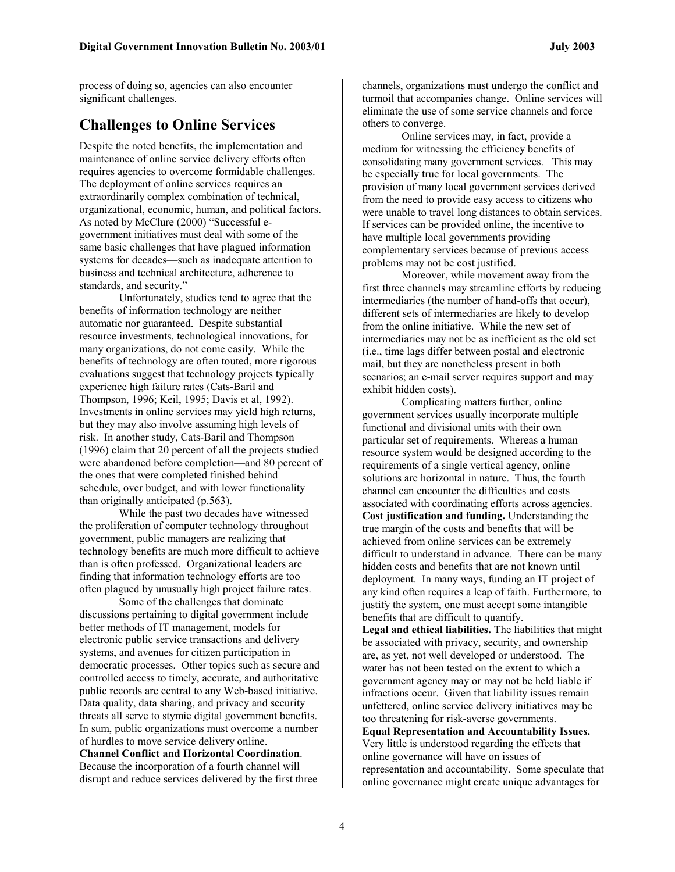process of doing so, agencies can also encounter significant challenges.

### **Challenges to Online Services**

Despite the noted benefits, the implementation and maintenance of online service delivery efforts often requires agencies to overcome formidable challenges. The deployment of online services requires an extraordinarily complex combination of technical, organizational, economic, human, and political factors. As noted by McClure (2000) "Successful egovernment initiatives must deal with some of the same basic challenges that have plagued information systems for decades—such as inadequate attention to business and technical architecture, adherence to standards, and security."

Unfortunately, studies tend to agree that the benefits of information technology are neither automatic nor guaranteed. Despite substantial resource investments, technological innovations, for many organizations, do not come easily. While the benefits of technology are often touted, more rigorous evaluations suggest that technology projects typically experience high failure rates (Cats-Baril and Thompson, 1996; Keil, 1995; Davis et al, 1992). Investments in online services may yield high returns, but they may also involve assuming high levels of risk. In another study, Cats-Baril and Thompson (1996) claim that 20 percent of all the projects studied were abandoned before completion—and 80 percent of the ones that were completed finished behind schedule, over budget, and with lower functionality than originally anticipated (p.563).

While the past two decades have witnessed the proliferation of computer technology throughout government, public managers are realizing that technology benefits are much more difficult to achieve than is often professed. Organizational leaders are finding that information technology efforts are too often plagued by unusually high project failure rates.

Some of the challenges that dominate discussions pertaining to digital government include better methods of IT management, models for electronic public service transactions and delivery systems, and avenues for citizen participation in democratic processes. Other topics such as secure and controlled access to timely, accurate, and authoritative public records are central to any Web-based initiative. Data quality, data sharing, and privacy and security threats all serve to stymie digital government benefits. In sum, public organizations must overcome a number of hurdles to move service delivery online.

**Channel Conflict and Horizontal Coordination**. Because the incorporation of a fourth channel will disrupt and reduce services delivered by the first three channels, organizations must undergo the conflict and turmoil that accompanies change. Online services will eliminate the use of some service channels and force others to converge.

Online services may, in fact, provide a medium for witnessing the efficiency benefits of consolidating many government services. This may be especially true for local governments. The provision of many local government services derived from the need to provide easy access to citizens who were unable to travel long distances to obtain services. If services can be provided online, the incentive to have multiple local governments providing complementary services because of previous access problems may not be cost justified.

Moreover, while movement away from the first three channels may streamline efforts by reducing intermediaries (the number of hand-offs that occur), different sets of intermediaries are likely to develop from the online initiative. While the new set of intermediaries may not be as inefficient as the old set (i.e., time lags differ between postal and electronic mail, but they are nonetheless present in both scenarios; an e-mail server requires support and may exhibit hidden costs).

Complicating matters further, online government services usually incorporate multiple functional and divisional units with their own particular set of requirements. Whereas a human resource system would be designed according to the requirements of a single vertical agency, online solutions are horizontal in nature. Thus, the fourth channel can encounter the difficulties and costs associated with coordinating efforts across agencies. **Cost justification and funding.** Understanding the true margin of the costs and benefits that will be achieved from online services can be extremely difficult to understand in advance. There can be many hidden costs and benefits that are not known until deployment. In many ways, funding an IT project of any kind often requires a leap of faith. Furthermore, to justify the system, one must accept some intangible benefits that are difficult to quantify.

**Legal and ethical liabilities.** The liabilities that might be associated with privacy, security, and ownership are, as yet, not well developed or understood. The water has not been tested on the extent to which a government agency may or may not be held liable if infractions occur. Given that liability issues remain unfettered, online service delivery initiatives may be too threatening for risk-averse governments.

**Equal Representation and Accountability Issues.** Very little is understood regarding the effects that online governance will have on issues of representation and accountability. Some speculate that online governance might create unique advantages for